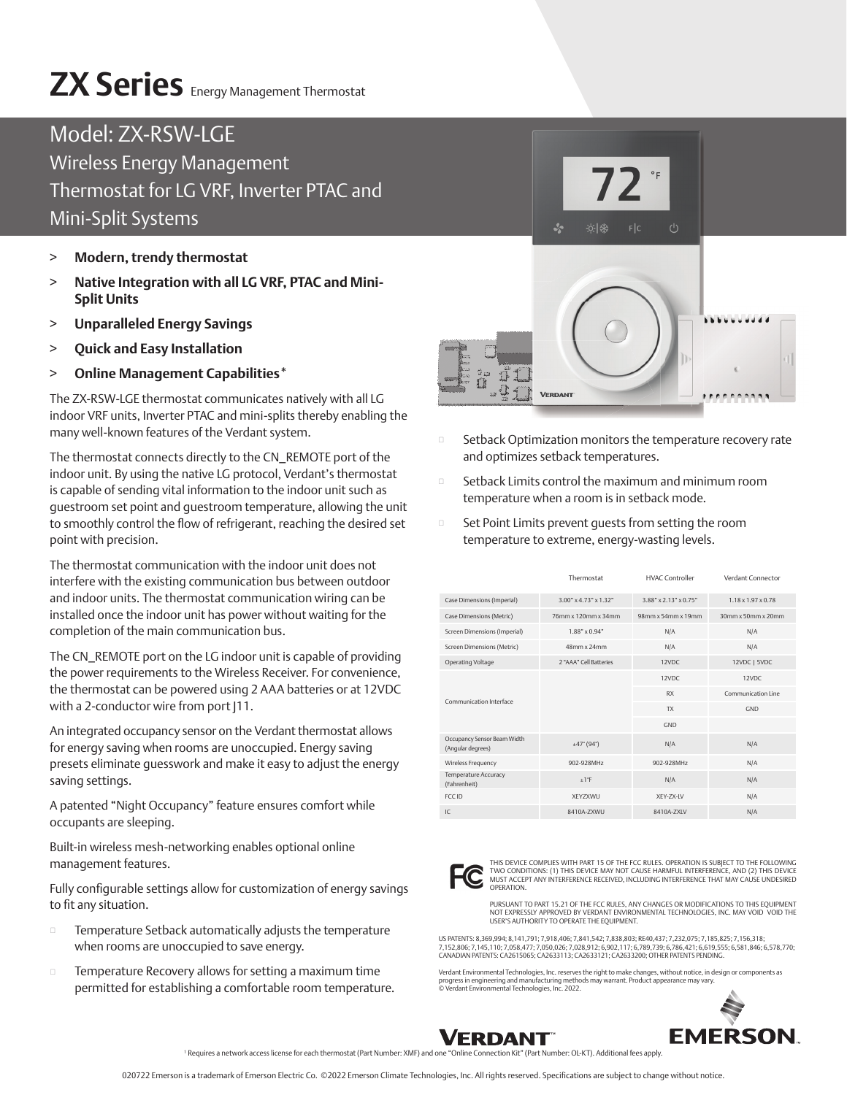## **ZX Series** Energy Management Thermostat

## Model: ZX-RSW-LGE Wireless Energy Management Thermostat for LG VRF, Inverter PTAC and Mini-Split Systems

- > **Modern, trendy thermostat**
- > **Native Integration with all LG VRF, PTAC and Mini-Split Units**
- > **Unparalleled Energy Savings**
- > **Quick and Easy Installation**
- > **Online Management Capabilities\***

The ZX-RSW-LGE thermostat communicates natively with all LG indoor VRF units, Inverter PTAC and mini-splits thereby enabling the many well-known features of the Verdant system.

The thermostat connects directly to the CN\_REMOTE port of the indoor unit. By using the native LG protocol, Verdant's thermostat is capable of sending vital information to the indoor unit such as guestroom set point and guestroom temperature, allowing the unit to smoothly control the flow of refrigerant, reaching the desired set point with precision.

The thermostat communication with the indoor unit does not interfere with the existing communication bus between outdoor and indoor units. The thermostat communication wiring can be installed once the indoor unit has power without waiting for the completion of the main communication bus.

The CN\_REMOTE port on the LG indoor unit is capable of providing the power requirements to the Wireless Receiver. For convenience, the thermostat can be powered using 2 AAA batteries or at 12VDC with a 2-conductor wire from port J11.

An integrated occupancy sensor on the Verdant thermostat allows for energy saving when rooms are unoccupied. Energy saving presets eliminate guesswork and make it easy to adjust the energy saving settings.

A patented "Night Occupancy" feature ensures comfort while occupants are sleeping.

Built-in wireless mesh-networking enables optional online management features.

Fully configurable settings allow for customization of energy savings to fit any situation.

- Temperature Setback automatically adjusts the temperature when rooms are unoccupied to save energy.
- $\square$  Temperature Recovery allows for setting a maximum time permitted for establishing a comfortable room temperature.



- Setback Optimization monitors the temperature recovery rate and optimizes setback temperatures.
- Setback Limits control the maximum and minimum room temperature when a room is in setback mode.
- □ Set Point Limits prevent guests from setting the room temperature to extreme, energy-wasting levels.

|                                                  | Thermostat                     | <b>HVAC Controller</b>               | Verdant Connector              |
|--------------------------------------------------|--------------------------------|--------------------------------------|--------------------------------|
| Case Dimensions (Imperial)                       | $3.00^{\circ}$ x 4.73" x 1.32" | $3.88'' \times 2.13'' \times 0.75''$ | $1.18 \times 1.97 \times 0.78$ |
| Case Dimensions (Metric)                         | 76mm x 120mm x 34mm            | $98$ mm x $54$ mm x $19$ mm          | $30$ mm x $50$ mm x $20$ mm    |
| Screen Dimensions (Imperial)                     | $1.88" \times 0.94"$           | N/A                                  | N/A                            |
| Screen Dimensions (Metric)                       | 48mm x 24mm                    | N/A                                  | N/A                            |
| Operating Voltage                                | 2 "AAA" Cell Batteries         | 12VDC                                | 12VDC   5VDC                   |
| Communication Interface                          |                                | 12VDC                                | 12VDC                          |
|                                                  |                                | <b>RX</b>                            | Communication Line             |
|                                                  |                                | <b>TX</b>                            | GND                            |
|                                                  |                                | GND                                  |                                |
| Occupancy Sensor Beam Width<br>(Angular degrees) | ±47°(94°)                      | N/A                                  | N/A                            |
| Wireless Frequency                               | 902-928MHz                     | 902-928MHz                           | N/A                            |
| Temperature Accuracy<br>(Fahrenheit)             | ±1°F                           | N/A                                  | N/A                            |
| <b>ECC ID</b>                                    | XEYZXWU                        | XEY-ZX-LV                            | N/A                            |
| IC                                               | 8410A-7XWU                     | 8410A-7XIV                           | N/A                            |



THIS DEVICE COMPLIES WITH PART 15 OF THE FCC RULES. OPERATION IS SUBJECT TO THE FOLLOWING TWO CONDITIONS: (1) THIS DEVICE MAY NOT CAUSE HARMFUL INTERFERENCE, AND (2) THIS DEVICE<br>MUST ACCEPT ANY INTERFERENCE RECEIVED, INCLUDING INTERFERENCE THAT MAY CAUSE UNDESIRED<br>OPERATION.

PURSUANT TO PART 15.21 OF THE FCC RULES, ANY CHANGES OR MODIFICATIONS TO THIS EQUIPMENT<br>NOT EXPRESSLY APPROVED BY VERDANT ENVIRONMENTAL TECHNOLOGIES, INC. MAY VOID VOID THE<br>USER'S AUTHORITY TO OPERATE THE EQUIPMENT.

US PATENTS: 8,369,994; 8,141,791; 7,918,406; 7,841,542; 7,838,803; RE40,437; 7,232,075; 7,185,825; 7,156,318; 7,152,806; 7,145,110; 7,058,477; 7,050,026; 7,028,912; 6,902,117; 6,789,739; 6,786,421; 6,619,555; 6,581,846; 6,578,770; CANADIAN PATENTS: CA2615065; CA2633113; CA2633121; CA2633200; OTHER PATENTS PENDING.

Verdant Environmental Technologies, Inc. reserves the right to make changes, without notice, in design or components as progress in engineering and manufacturing methods may warrant. Product appearance may vary. © Verdant Environmental Technologies, Inc. 2022.





1 Requires a network access license for each thermostat (Part Number: XMF) and one "Online Connection Kit" (Part Number: OL-KT). Additional fees apply.